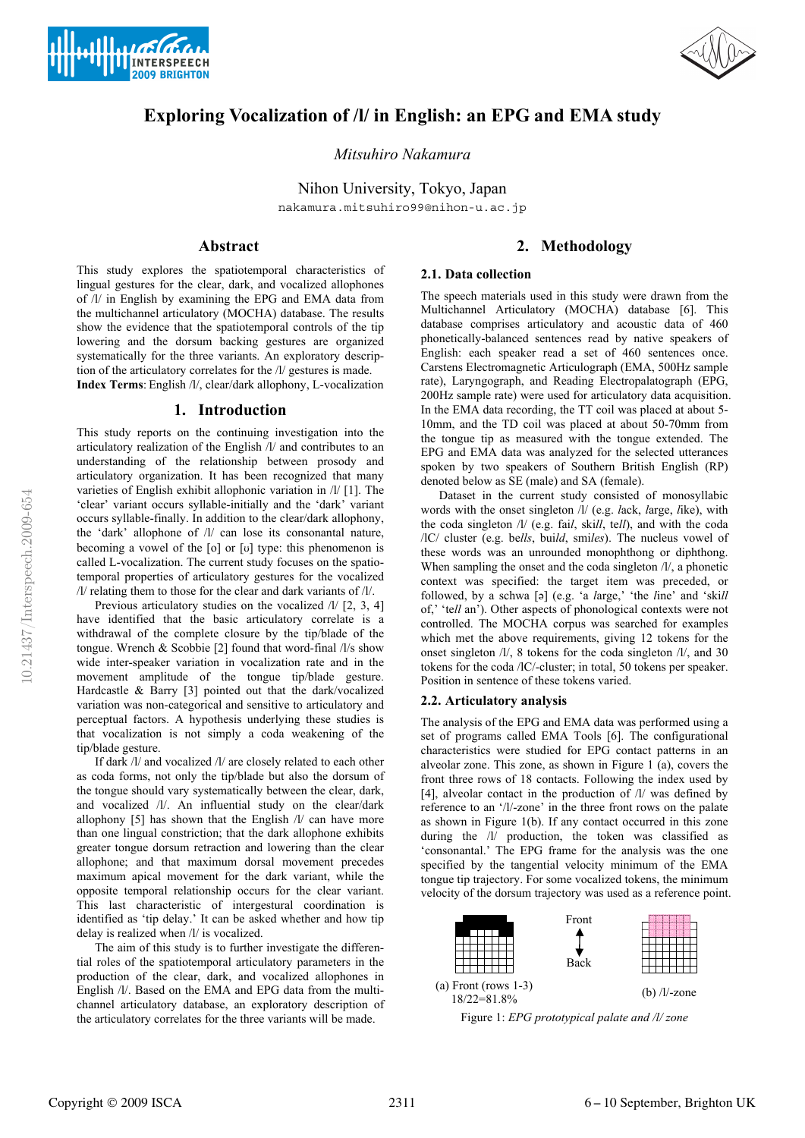





# **Exploring Vocalization of /l/ in English: an EPG and EMA study**

*Mitsuhiro Nakamura*

Nihon University, Tokyo, Japan nakamura.mitsuhiro99@nihon-u.ac.jp

# **Abstract**

This study explores the spatiotemporal characteristics of lingual gestures for the clear, dark, and vocalized allophones of /l/ in English by examining the EPG and EMA data from the multichannel articulatory (MOCHA) database. The results show the evidence that the spatiotemporal controls of the tip lowering and the dorsum backing gestures are organized systematically for the three variants. An exploratory description of the articulatory correlates for the /l/ gestures is made.

**Index Terms**: English /l/, clear/dark allophony, L-vocalization

# **1. Introduction**

This study reports on the continuing investigation into the articulatory realization of the English /l/ and contributes to an understanding of the relationship between prosody and articulatory organization. It has been recognized that many varieties of English exhibit allophonic variation in /l/ [1]. The 'clear' variant occurs syllable-initially and the 'dark' variant occurs syllable-finally. In addition to the clear/dark allophony, the 'dark' allophone of /l/ can lose its consonantal nature, becoming a vowel of the [o] or [u] type: this phenomenon is called L-vocalization. The current study focuses on the spatiotemporal properties of articulatory gestures for the vocalized /l/ relating them to those for the clear and dark variants of /l/.

Previous articulatory studies on the vocalized  $\Lambda$  [2, 3, 4] have identified that the basic articulatory correlate is a withdrawal of the complete closure by the tip/blade of the tongue. Wrench & Scobbie [2] found that word-final /l/s show wide inter-speaker variation in vocalization rate and in the movement amplitude of the tongue tip/blade gesture. Hardcastle & Barry [3] pointed out that the dark/vocalized variation was non-categorical and sensitive to articulatory and perceptual factors. A hypothesis underlying these studies is that vocalization is not simply a coda weakening of the tip/blade gesture.

If dark /l/ and vocalized /l/ are closely related to each other as coda forms, not only the tip/blade but also the dorsum of the tongue should vary systematically between the clear, dark, and vocalized /l/. An influential study on the clear/dark allophony [5] has shown that the English /l/ can have more than one lingual constriction; that the dark allophone exhibits greater tongue dorsum retraction and lowering than the clear allophone; and that maximum dorsal movement precedes maximum apical movement for the dark variant, while the opposite temporal relationship occurs for the clear variant. This last characteristic of intergestural coordination is identified as 'tip delay.' It can be asked whether and how tip delay is realized when /l/ is vocalized.

The aim of this study is to further investigate the differential roles of the spatiotemporal articulatory parameters in the production of the clear, dark, and vocalized allophones in English /l/. Based on the EMA and EPG data from the multichannel articulatory database, an exploratory description of the articulatory correlates for the three variants will be made.

# **2. Methodology**

## **2.1. Data collection**

The speech materials used in this study were drawn from the Multichannel Articulatory (MOCHA) database [6]. This database comprises articulatory and acoustic data of 460 phonetically-balanced sentences read by native speakers of English: each speaker read a set of 460 sentences once. Carstens Electromagnetic Articulograph (EMA, 500Hz sample rate), Laryngograph, and Reading Electropalatograph (EPG, 200Hz sample rate) were used for articulatory data acquisition. In the EMA data recording, the TT coil was placed at about 5- 10mm, and the TD coil was placed at about 50-70mm from the tongue tip as measured with the tongue extended. The EPG and EMA data was analyzed for the selected utterances spoken by two speakers of Southern British English (RP) denoted below as SE (male) and SA (female).

Dataset in the current study consisted of monosyllabic words with the onset singleton /l/ (e.g. *l*ack, *l*arge, *l*ike), with the coda singleton /l/ (e.g. fai*l*, ski*ll*, te*ll*), and with the coda /lC/ cluster (e.g. be*lls*, bui*ld*, smi*les*). The nucleus vowel of these words was an unrounded monophthong or diphthong. When sampling the onset and the coda singleton  $\Lambda$ , a phonetic context was specified: the target item was preceded, or followed, by a schwa [ə] (e.g. 'a *l*arge,' 'the *l*ine' and 'ski*ll* of,' 'te*ll* an'). Other aspects of phonological contexts were not controlled. The MOCHA corpus was searched for examples which met the above requirements, giving 12 tokens for the onset singleton /l/, 8 tokens for the coda singleton /l/, and 30 tokens for the coda /lC/-cluster; in total, 50 tokens per speaker. Position in sentence of these tokens varied.

## **2.2. Articulatory analysis**

The analysis of the EPG and EMA data was performed using a set of programs called EMA Tools [6]. The configurational characteristics were studied for EPG contact patterns in an alveolar zone. This zone, as shown in Figure 1 (a), covers the front three rows of 18 contacts. Following the index used by [4], alveolar contact in the production of /l/ was defined by reference to an '/l/-zone' in the three front rows on the palate as shown in Figure 1(b). If any contact occurred in this zone during the /l/ production, the token was classified as 'consonantal.' The EPG frame for the analysis was the one specified by the tangential velocity minimum of the EMA tongue tip trajectory. For some vocalized tokens, the minimum velocity of the dorsum trajectory was used as a reference point.



Figure 1: *EPG prototypical palate and /l/ zone*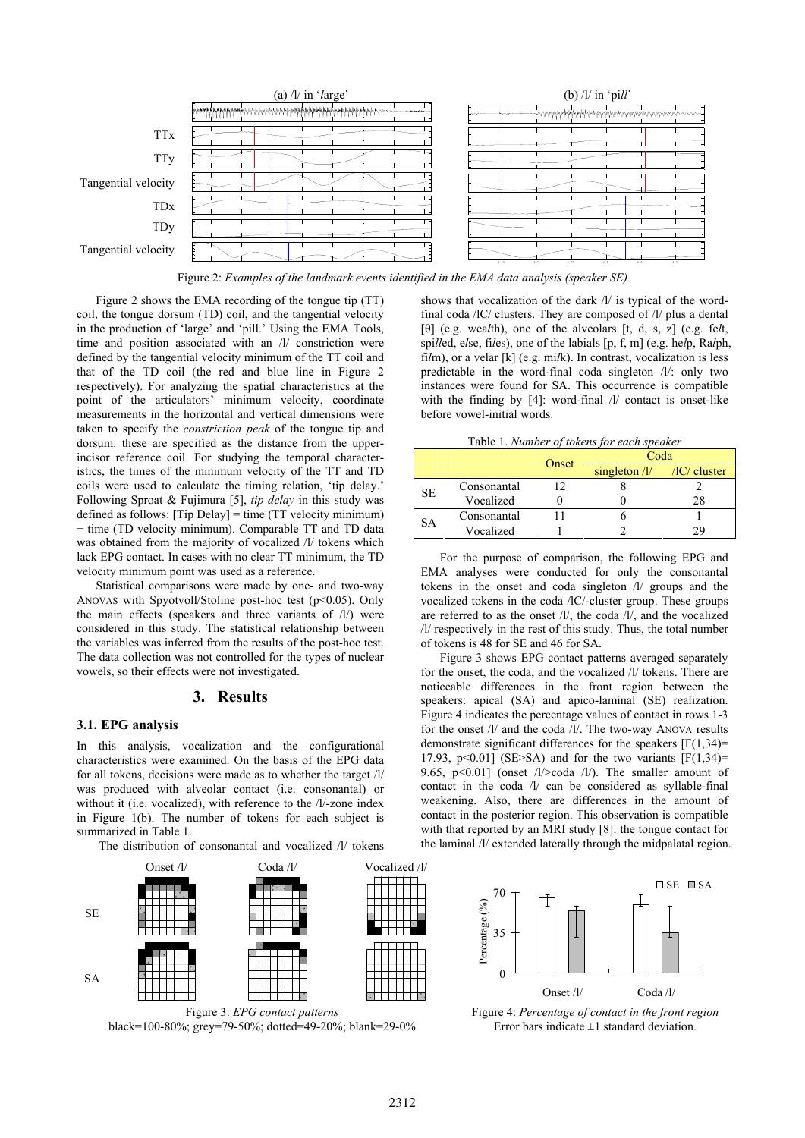

Figure 2: *Examples of the landmark events identified in the EMA data analysis (speaker SE)*

Figure 2 shows the EMA recording of the tongue tip (TT) coil, the tongue dorsum (TD) coil, and the tangential velocity in the production of 'large' and 'pill.' Using the EMA Tools, time and position associated with an /l/ constriction were defined by the tangential velocity minimum of the TT coil and that of the TD coil (the red and blue line in Figure 2 respectively). For analyzing the spatial characteristics at the point of the articulators' minimum velocity, coordinate measurements in the horizontal and vertical dimensions were taken to specify the *constriction peak* of the tongue tip and dorsum: these are specified as the distance from the upperincisor reference coil. For studying the temporal characteristics, the times of the minimum velocity of the TT and TD coils were used to calculate the timing relation, 'tip delay.' Following Sproat & Fujimura [5], *tip delay* in this study was defined as follows: [Tip Delay] = time (TT velocity minimum) − time (TD velocity minimum). Comparable TT and TD data was obtained from the majority of vocalized /l/ tokens which lack EPG contact. In cases with no clear TT minimum, the TD velocity minimum point was used as a reference.

Statistical comparisons were made by one- and two-way ANOVAS with Spyotvoll/Stoline post-hoc test (p<0.05). Only the main effects (speakers and three variants of /l/) were considered in this study. The statistical relationship between the variables was inferred from the results of the post-hoc test. The data collection was not controlled for the types of nuclear vowels, so their effects were not investigated.

## **3. Results**

#### **3.1. EPG analysis**

In this analysis, vocalization and the configurational characteristics were examined. On the basis of the EPG data for all tokens, decisions were made as to whether the target /l/ was produced with alveolar contact (i.e. consonantal) or without it (i.e. vocalized), with reference to the /l/-zone index in Figure 1(b). The number of tokens for each subject is summarized in Table 1.

The distribution of consonantal and vocalized /l/ tokens



Figure 3: *EPG contact patterns*  black=100-80%; grey=79-50%; dotted=49-20%; blank=29-0%

shows that vocalization of the dark /l/ is typical of the wordfinal coda /lC/ clusters. They are composed of /l/ plus a dental [θ] (e.g. wea*l*th), one of the alveolars [t, d, s, z] (e.g. fe*l*t, spi*ll*ed, e*l*se, fi*l*es), one of the labials [p, f, m] (e.g. he*l*p, Ra*l*ph, fi*l*m), or a velar [k] (e.g. mi*l*k). In contrast, vocalization is less predictable in the word-final coda singleton /l/: only two instances were found for SA. This occurrence is compatible with the finding by [4]: word-final /l/ contact is onset-like before vowel-initial words.

Table 1. *Number of tokens for each speaker*

| Tuble 1. Transfer of tonens for each speaker |             |       |                                             |    |
|----------------------------------------------|-------------|-------|---------------------------------------------|----|
|                                              |             | Onset | Coda                                        |    |
|                                              |             |       | singleton $\frac{1}{\sqrt{C}}$ /IC/ cluster |    |
| <b>SE</b>                                    | Consonantal |       |                                             |    |
|                                              | Vocalized   |       |                                             | 28 |
| SА                                           | Consonantal |       |                                             |    |
|                                              | Vocalized   |       |                                             | 79 |

For the purpose of comparison, the following EPG and EMA analyses were conducted for only the consonantal tokens in the onset and coda singleton /l/ groups and the vocalized tokens in the coda /lC/-cluster group. These groups are referred to as the onset /l/, the coda /l/, and the vocalized /l/ respectively in the rest of this study. Thus, the total number of tokens is 48 for SE and 46 for SA.

Figure 3 shows EPG contact patterns averaged separately for the onset, the coda, and the vocalized /l/ tokens. There are noticeable differences in the front region between the speakers: apical (SA) and apico-laminal (SE) realization. Figure 4 indicates the percentage values of contact in rows 1-3 for the onset /l/ and the coda /l/. The two-way ANOVA results demonstrate significant differences for the speakers  $[F(1,34)$ = 17.93, p<0.01] (SE>SA) and for the two variants  $[F(1,34)=$ 9.65, p<0.01] (onset  $\frac{1}{\infty}$  coda  $\frac{1}{\infty}$ ). The smaller amount of contact in the coda /l/ can be considered as syllable-final weakening. Also, there are differences in the amount of contact in the posterior region. This observation is compatible with that reported by an MRI study [8]: the tongue contact for the laminal /l/ extended laterally through the midpalatal region.



Figure 4: *Percentage of contact in the front region* Error bars indicate  $\pm 1$  standard deviation.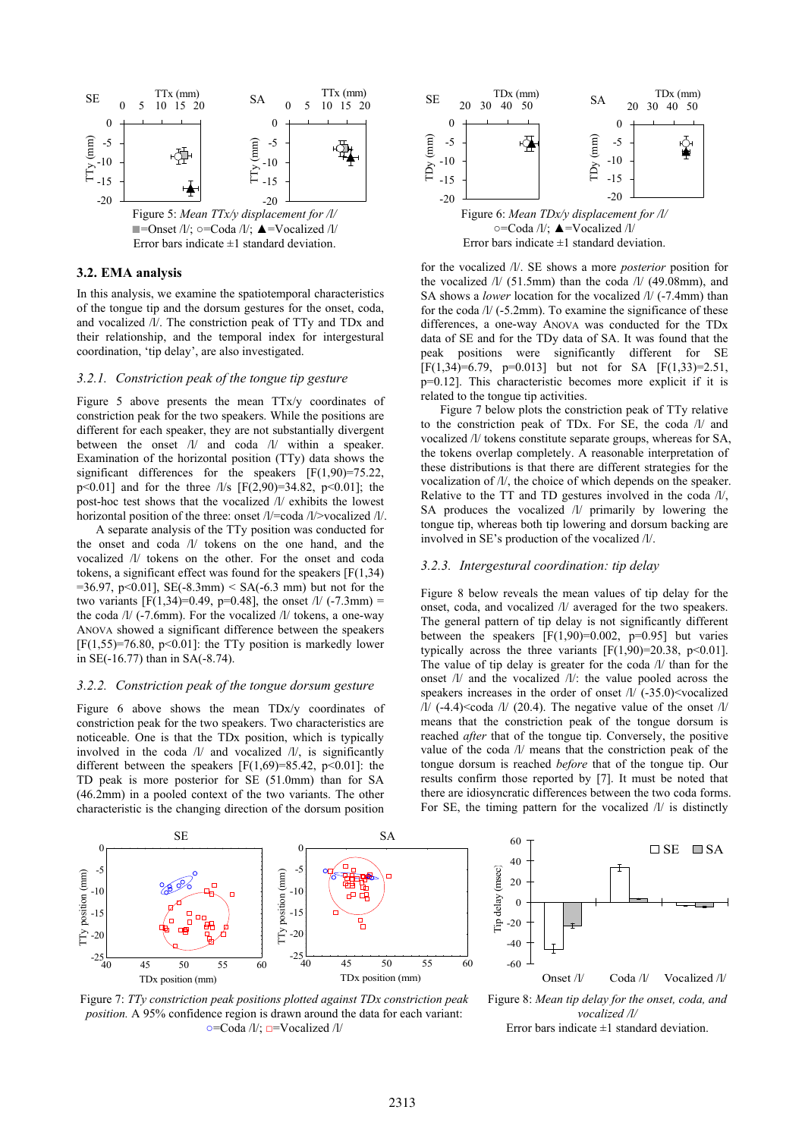

Error bars indicate  $\pm 1$  standard deviation.

## **3.2. EMA analysis**

In this analysis, we examine the spatiotemporal characteristics of the tongue tip and the dorsum gestures for the onset, coda, and vocalized /l/. The constriction peak of TTy and TDx and their relationship, and the temporal index for intergestural coordination, 'tip delay', are also investigated.

#### *3.2.1. Constriction peak of the tongue tip gesture*

Figure 5 above presents the mean TTx/y coordinates of constriction peak for the two speakers. While the positions are different for each speaker, they are not substantially divergent between the onset /l/ and coda /l/ within a speaker. Examination of the horizontal position (TTy) data shows the significant differences for the speakers  $[F(1,90)=75.22]$ ,  $p<0.01$ ] and for the three  $\frac{1}{s}$  [F(2,90)=34.82, p<0.01]; the post-hoc test shows that the vocalized /l/ exhibits the lowest horizontal position of the three: onset /l/=coda /l/>vocalized /l/.

A separate analysis of the TTy position was conducted for the onset and coda /l/ tokens on the one hand, and the vocalized /l/ tokens on the other. For the onset and coda tokens, a significant effect was found for the speakers [F(1,34)  $=36.97$ , p<0.01], SE(-8.3mm) < SA(-6.3 mm) but not for the two variants  $[F(1,34)=0.49, p=0.48]$ , the onset  $1/(-7.3$ mm) = the coda /l/ (-7.6mm). For the vocalized /l/ tokens, a one-way ANOVA showed a significant difference between the speakers  $[F(1,55)=76.80, p<0.01]$ : the TTy position is markedly lower in SE(-16.77) than in SA(-8.74).

#### *3.2.2. Constriction peak of the tongue dorsum gesture*

Figure 6 above shows the mean TDx/y coordinates of constriction peak for the two speakers. Two characteristics are noticeable. One is that the TDx position, which is typically involved in the coda /l/ and vocalized /l/, is significantly different between the speakers  $[F(1,69)=85.42, p<0.01]$ : the TD peak is more posterior for SE (51.0mm) than for SA (46.2mm) in a pooled context of the two variants. The other characteristic is the changing direction of the dorsum position



for the vocalized /l/. SE shows a more *posterior* position for the vocalized /l/ (51.5mm) than the coda /l/ (49.08mm), and SA shows a *lower* location for the vocalized /l/ (-7.4mm) than for the coda /l/ (-5.2mm). To examine the significance of these differences, a one-way ANOVA was conducted for the TDx data of SE and for the TDy data of SA. It was found that the peak positions were significantly different for SE  $[F(1,34)=6.79, p=0.013]$  but not for SA  $[F(1,33)=2.51,$ p=0.12]. This characteristic becomes more explicit if it is related to the tongue tip activities.

Figure 7 below plots the constriction peak of TTy relative the constriction peak of TDx. For SE, the coda  $\frac{1}{a}$  and vocalized /l/ tokens constitute separate groups, whereas for SA, the tokens overlap completely. A reasonable interpretation of these distributions is that there are different strategies for the vocalization of /l/, the choice of which depends on the speaker. Relative to the TT and TD gestures involved in the coda /l/, SA produces the vocalized /l/ primarily by lowering the tongue tip, whereas both tip lowering and dorsum backing are involved in SE's production of the vocalized /l/.

#### *3.2.3. Intergestural coordination: tip delay*

Figure 8 below reveals the mean values of tip delay for the onset, coda, and vocalized /l/ averaged for the two speakers. The general pattern of tip delay is not significantly different between the speakers  $[F(1,90)=0.002, p=0.95]$  but varies typically across the three variants  $[F(1,90)=20.38, p<0.01]$ . The value of tip delay is greater for the coda /l/ than for the onset /l/ and the vocalized /l/: the value pooled across the speakers increases in the order of onset  $1/$  (-35.0)<vocalized  $/1/$  (-4.4) < coda  $/1/$  (20.4). The negative value of the onset  $/1/$ means that the constriction peak of the tongue dorsum is reached *after* that of the tongue tip. Conversely, the positive value of the coda /l/ means that the constriction peak of the tongue dorsum is reached *before* that of the tongue tip. Our results confirm those reported by [7]. It must be noted that there are idiosyncratic differences between the two coda forms. For SE, the timing pattern for the vocalized /l/ is distinctly



Figure 7: *TTy constriction peak positions plotted against TDx constriction peak position.* A 95% confidence region is drawn around the data for each variant: **○**=Coda /l/; **□**=Vocalized /l/



Figure 8: *Mean tip delay for the onset, coda, and vocalized /l/* Error bars indicate  $\pm 1$  standard deviation.